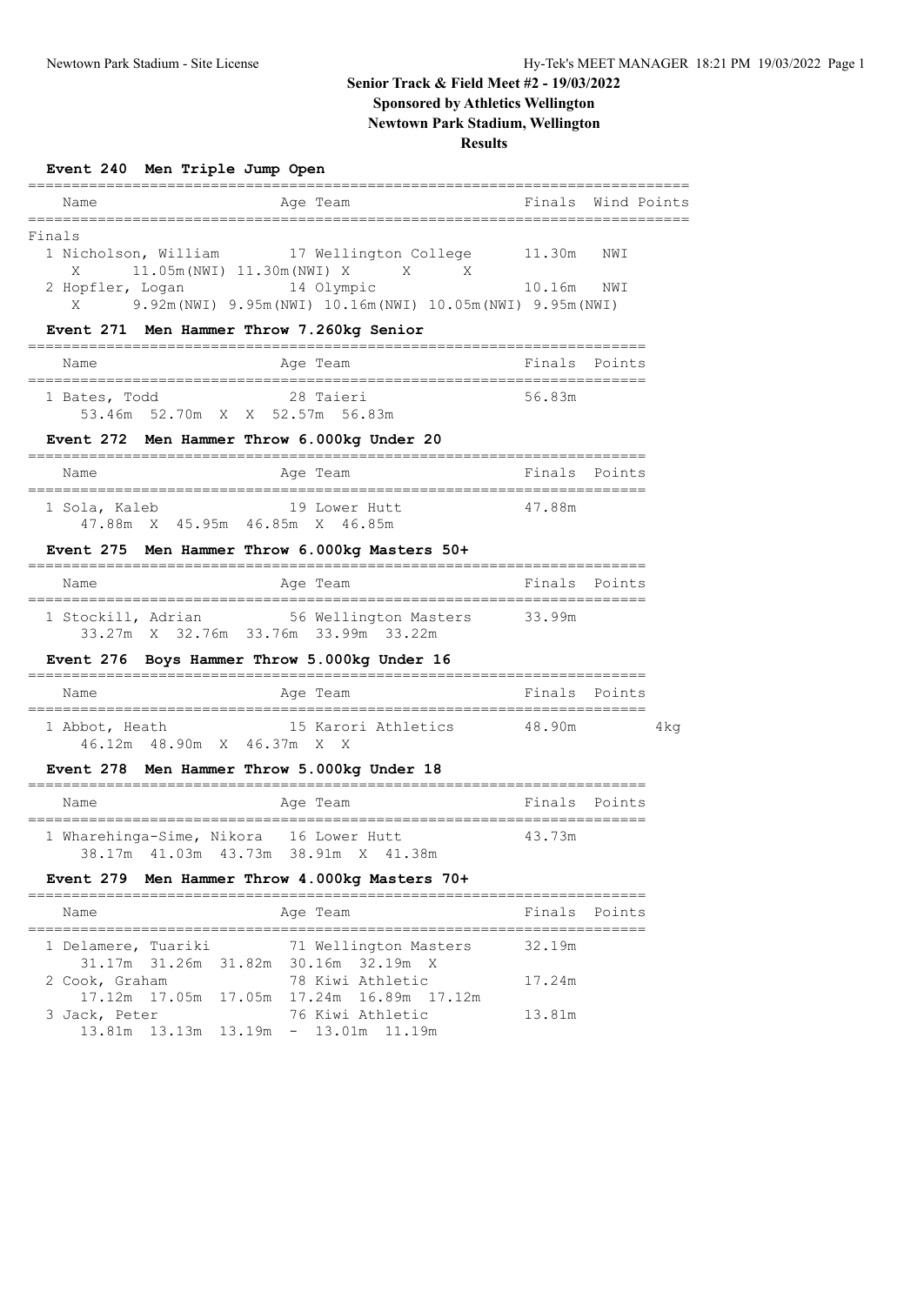# **Senior Track & Field Meet #2 - 19/03/2022 Sponsored by Athletics Wellington**

**Newtown Park Stadium, Wellington**

## **Results**

|                     | Event 240 Men Triple Jump Open                             |           |                                                                                                                               |                    |      |
|---------------------|------------------------------------------------------------|-----------|-------------------------------------------------------------------------------------------------------------------------------|--------------------|------|
| Name                |                                                            |           | Age Team                                                                                                                      | Finals Wind Points |      |
| Finals<br>X<br>X    | 11.05m (NWI) 11.30m (NWI) X<br>2 Hopfler, Logan 14 Olympic |           | 1 Nicholson, William 17 Wellington College 11.30m NWI<br>X X<br>9.92m (NWI) 9.95m (NWI) 10.16m (NWI) 10.05m (NWI) 9.95m (NWI) | 10.16m NWI         |      |
|                     | Event 271 Men Hammer Throw 7.260kg Senior                  |           |                                                                                                                               |                    |      |
| Name                |                                                            |           | Age Team                                                                                                                      | Finals Points      |      |
| 1 Bates, Todd       | 53.46m 52.70m X X 52.57m 56.83m                            | 28 Taieri |                                                                                                                               | 56.83m             |      |
|                     |                                                            |           | Event 272 Men Hammer Throw 6.000kg Under 20                                                                                   |                    |      |
| Name                |                                                            |           | Age Team                                                                                                                      | Finals Points      |      |
| 1 Sola, Kaleb       | 47.88m X 45.95m 46.85m X 46.85m                            |           | 19 Lower Hutt                                                                                                                 | 47.88m             |      |
|                     |                                                            |           | Event 275 Men Hammer Throw 6.000kg Masters 50+                                                                                |                    |      |
| Name                |                                                            |           | Age Team                                                                                                                      | Finals Points      |      |
|                     |                                                            |           | 1 Stockill, Adrian 56 Wellington Masters 33.99m<br>33.27m X 32.76m 33.76m 33.99m 33.22m                                       |                    |      |
| Name                |                                                            |           | Event 276 Boys Hammer Throw 5.000kg Under 16<br>Age Team                                                                      | Finals Points      |      |
| 1 Abbot, Heath      | 46.12m 48.90m X 46.37m X X                                 |           | 15 Karori Athletics 48.90m                                                                                                    |                    | 4 kg |
|                     |                                                            |           | Event 278 Men Hammer Throw 5.000kg Under 18                                                                                   |                    |      |
| Name                |                                                            |           | Age Team                                                                                                                      | Finals Points      |      |
|                     | 1 Wharehinga-Sime, Nikora 16 Lower Hutt                    |           | 38.17m  41.03m  43.73m  38.91m  X  41.38m                                                                                     | 43.73m             |      |
|                     |                                                            |           | Event 279 Men Hammer Throw 4.000kg Masters 70+                                                                                |                    |      |
| Name                |                                                            |           | Age Team                                                                                                                      | Finals Points      |      |
| 1 Delamere, Tuariki |                                                            |           | 71 Wellington Masters                                                                                                         | 32.19m             |      |
| 2 Cook, Graham      | 31.17m 31.26m                                              |           | 31.82m 30.16m 32.19m X<br>78 Kiwi Athletic                                                                                    | 17.24m             |      |
| 3 Jack, Peter       | 17.12m  17.05m  17.05m                                     |           | 17.24m 16.89m 17.12m<br>76 Kiwi Athletic<br>13.81m  13.13m  13.19m - 13.01m  11.19m                                           | 13.81m             |      |
|                     |                                                            |           |                                                                                                                               |                    |      |
|                     |                                                            |           |                                                                                                                               |                    |      |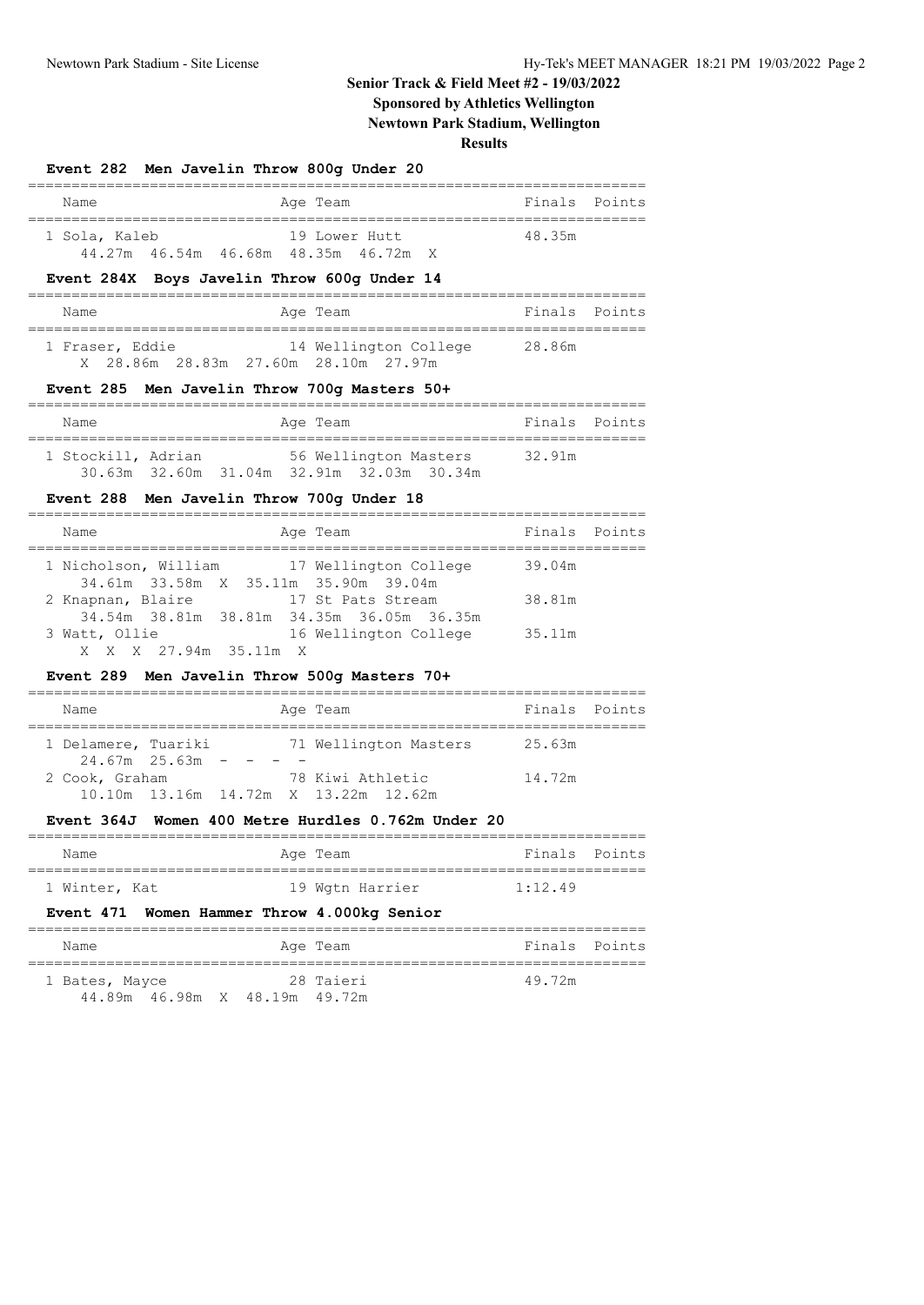# **Senior Track & Field Meet #2 - 19/03/2022**

# **Sponsored by Athletics Wellington**

**Newtown Park Stadium, Wellington**

**Results**

| Event 282 Men Javelin Throw 800q Under 20 |                                                                                                      |               |  |
|-------------------------------------------|------------------------------------------------------------------------------------------------------|---------------|--|
| Name                                      | Aqe Team                                                                                             | Finals Points |  |
| 1 Sola, Kaleb                             | 19 Lower Hutt<br>44.27m 46.54m 46.68m 48.35m 46.72m X<br>Event 284X Boys Javelin Throw 600q Under 14 | 48.35m        |  |
|                                           |                                                                                                      |               |  |
| Name                                      | Age Team                                                                                             | Finals Points |  |
| 1 Fraser, Eddie                           | 14 Wellington College 28.86m<br>X 28.86m 28.83m 27.60m 28.10m 27.97m                                 |               |  |
|                                           | Event 285 Men Javelin Throw 700q Masters 50+                                                         |               |  |
| Name                                      | Age Team                                                                                             | Finals Points |  |
| 1 Stockill, Adrian                        | 56 Wellington Masters 32.91m<br>30.63m 32.60m 31.04m 32.91m 32.03m 30.34m                            |               |  |

#### **Event 288 Men Javelin Throw 700g Under 18**

| Age Team<br>Name                                                                    |        | Finals Points |
|-------------------------------------------------------------------------------------|--------|---------------|
| 1 Nicholson, William 17 Wellington College<br>34.61m 33.58m X 35.11m 35.90m 39.04m  | 39.04m |               |
| 2 Knapnan, Blaire<br>17 St Pats Stream<br>34.54m 38.81m 38.81m 34.35m 36.05m 36.35m | 38.81m |               |
| 3 Watt, Ollie<br>16 Wellington College<br>X X X 27.94m 35.11m X                     | 35.11m |               |

## **Event 289 Men Javelin Throw 500g Masters 70+**

| Name                |                       |  |  | Age Team                             | Finals Points |  |  |
|---------------------|-----------------------|--|--|--------------------------------------|---------------|--|--|
|                     |                       |  |  |                                      |               |  |  |
| 1 Delamere, Tuariki |                       |  |  | 71 Wellington Masters                | 25.63m        |  |  |
|                     | $24.67m$ $25.63m$ - - |  |  |                                      |               |  |  |
| 2 Cook, Graham      |                       |  |  | 78 Kiwi Athletic                     | 14.72m        |  |  |
|                     |                       |  |  | 10.10m 13.16m 14.72m X 13.22m 12.62m |               |  |  |

#### **Event 364J Women 400 Metre Hurdles 0.762m Under 20**

| Name          |  |  | Age Team |                 | Finals Points |  |  |  |
|---------------|--|--|----------|-----------------|---------------|--|--|--|
|               |  |  |          |                 |               |  |  |  |
| 1 Winter, Kat |  |  |          | 19 Wgtn Harrier | 1:12.49       |  |  |  |

# **Event 471 Women Hammer Throw 4.000kg Senior**

| Name                          | Age Team  | Finals Points |  |
|-------------------------------|-----------|---------------|--|
| 1 Bates, Mayce                | 28 Taieri | 49.72m        |  |
| 44.89m 46.98m X 48.19m 49.72m |           |               |  |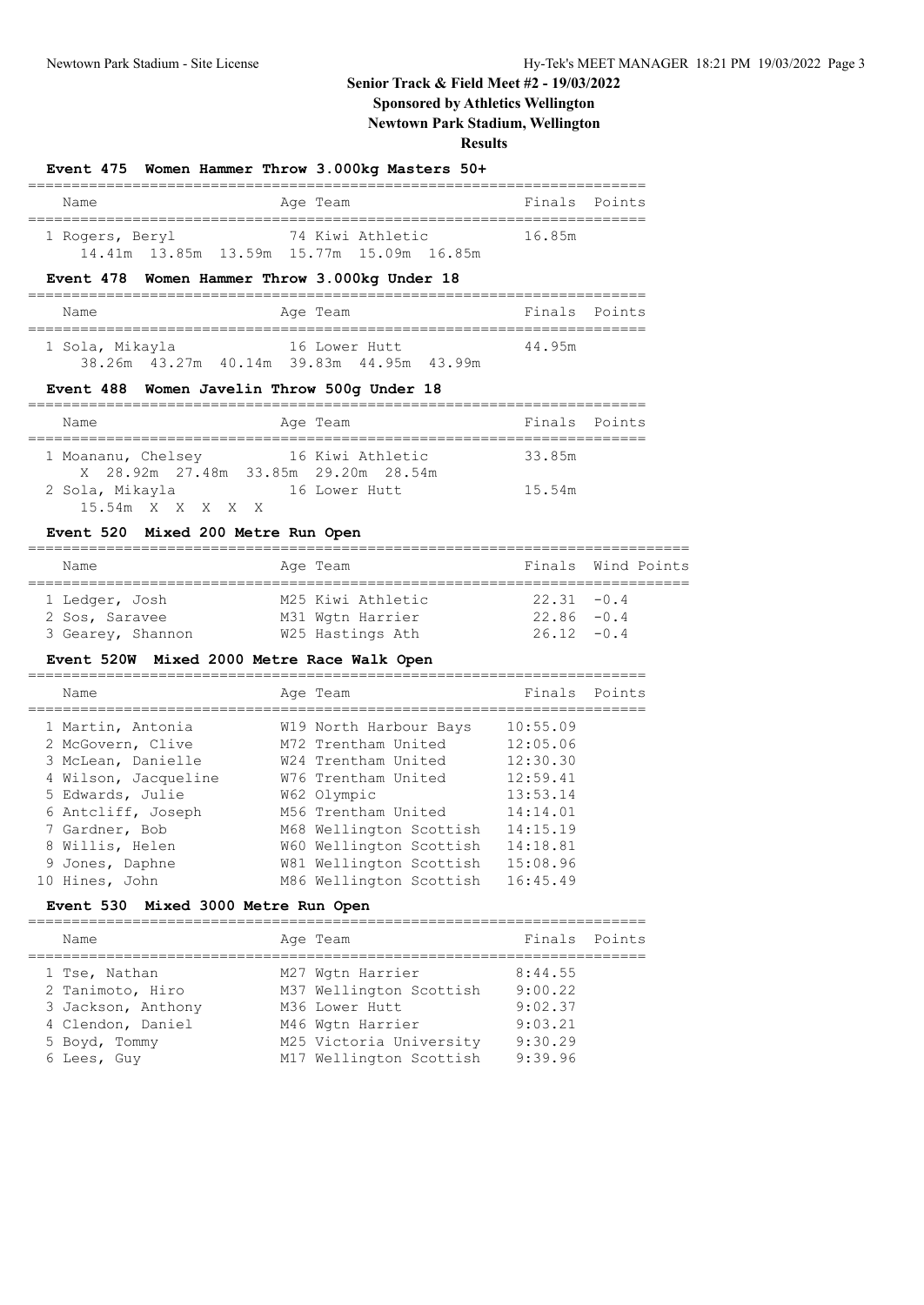# **Senior Track & Field Meet #2 - 19/03/2022**

# **Sponsored by Athletics Wellington**

**Newtown Park Stadium, Wellington**

**Results**

|                 | Event 475 Women Hammer Throw 3.000kg Masters 50+              |               |
|-----------------|---------------------------------------------------------------|---------------|
| Name            | Age Team                                                      | Finals Points |
| 1 Rogers, Beryl | 74 Kiwi Athletic<br>14.41m 13.85m 13.59m 15.77m 15.09m 16.85m | 16.85m        |
|                 | Event 478 Women Hammer Throw 3.000kg Under 18                 |               |
| Name            | Age Team                                                      | Finals Points |
| 1 Sola, Mikayla | 16 Lower Hutt<br>38.26m 43.27m 40.14m 39.83m 44.95m 43.99m    | 44.95m        |

# **Event 488 Women Javelin Throw 500g Under 18**

| Name                                                       | Age Team         | Finals Points |
|------------------------------------------------------------|------------------|---------------|
| 1 Moananu, Chelsey<br>X 28.92m 27.48m 33.85m 29.20m 28.54m | 16 Kiwi Athletic | 33.85m        |
| 2 Sola, Mikayla<br>15.54m X X X X X                        | 16 Lower Hutt    | 15.54m        |

## **Event 520 Mixed 200 Metre Run Open**

| Name              | Age Team          | Finals Wind Points |
|-------------------|-------------------|--------------------|
| 1 Ledger, Josh    | M25 Kiwi Athletic | $22.31 - 0.4$      |
| 2 Sos, Saravee    | M31 Wgtn Harrier  | $22.86 - 0.4$      |
| 3 Gearey, Shannon | W25 Hastings Ath  | $26.12 - 0.4$      |

## **Event 520W Mixed 2000 Metre Race Walk Open**

|  | Name                 | Age Team                | Finals Points |  |
|--|----------------------|-------------------------|---------------|--|
|  | 1 Martin, Antonia    | W19 North Harbour Bays  | 10:55.09      |  |
|  | 2 McGovern, Clive    | M72 Trentham United     | 12:05.06      |  |
|  | 3 McLean, Danielle   | W24 Trentham United     | 12:30.30      |  |
|  | 4 Wilson, Jacqueline | W76 Trentham United     | 12:59.41      |  |
|  | 5 Edwards, Julie     | W62 Olympic             | 13:53.14      |  |
|  | 6 Antcliff, Joseph   | M56 Trentham United     | 14:14.01      |  |
|  | 7 Gardner, Bob       | M68 Wellington Scottish | 14:15.19      |  |
|  | 8 Willis, Helen      | W60 Wellington Scottish | 14:18.81      |  |
|  | 9 Jones, Daphne      | W81 Wellington Scottish | 15:08.96      |  |
|  | 10 Hines, John       | M86 Wellington Scottish | 16:45.49      |  |
|  |                      |                         |               |  |

## **Event 530 Mixed 3000 Metre Run Open**

| Name               | Age Team                |         | Finals Points |
|--------------------|-------------------------|---------|---------------|
| 1 Tse, Nathan      | M27 Wgtn Harrier        | 8:44.55 |               |
| 2 Tanimoto, Hiro   | M37 Wellington Scottish | 9:00.22 |               |
| 3 Jackson, Anthony | M36 Lower Hutt          | 9:02.37 |               |
| 4 Clendon, Daniel  | M46 Wgtn Harrier        | 9:03.21 |               |
| 5 Boyd, Tommy      | M25 Victoria University | 9:30.29 |               |
| 6 Lees, Guy        | M17 Wellington Scottish | 9:39.96 |               |

6 Lees, Guy M17 Wellington Scottish 9:39.96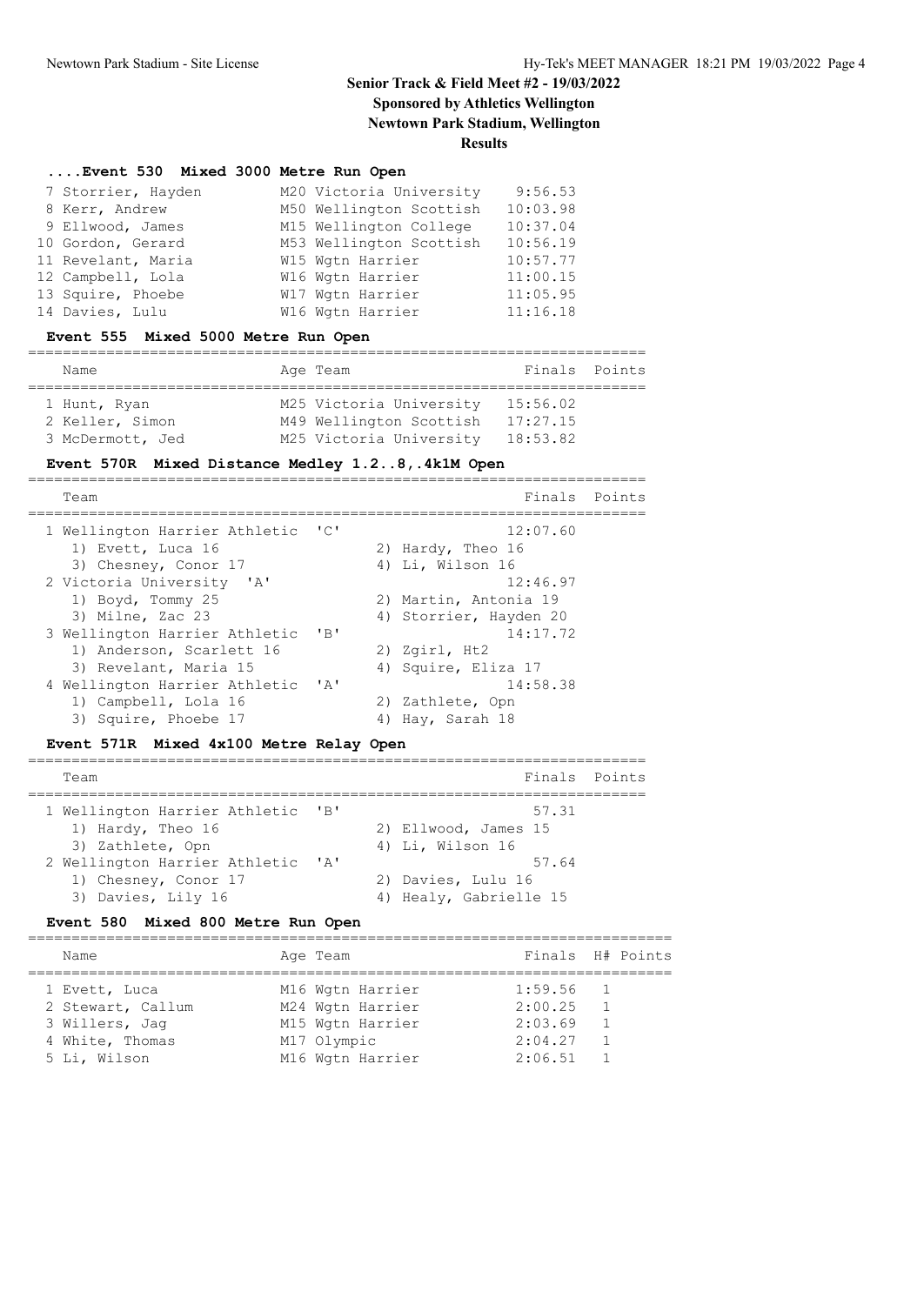# **Senior Track & Field Meet #2 - 19/03/2022 Sponsored by Athletics Wellington**

**Newtown Park Stadium, Wellington**

**Results**

#### **....Event 530 Mixed 3000 Metre Run Open**

| 7 Storrier, Hayden | M20 Victoria University | 9:56.53  |
|--------------------|-------------------------|----------|
| 8 Kerr, Andrew     | M50 Wellington Scottish | 10:03.98 |
| 9 Ellwood, James   | M15 Wellington College  | 10:37.04 |
| 10 Gordon, Gerard  | M53 Wellington Scottish | 10:56.19 |
| 11 Revelant, Maria | W15 Wgtn Harrier        | 10:57.77 |
| 12 Campbell, Lola  | W16 Wgtn Harrier        | 11:00.15 |
| 13 Squire, Phoebe  | W17 Wgtn Harrier        | 11:05.95 |
| 14 Davies, Lulu    | W16 Wgtn Harrier        | 11:16.18 |

#### **Event 555 Mixed 5000 Metre Run Open**

| Name             |  | Age Team                | Finals Points |  |  |  |  |  |  |  |
|------------------|--|-------------------------|---------------|--|--|--|--|--|--|--|
|                  |  |                         |               |  |  |  |  |  |  |  |
| 1 Hunt, Ryan     |  | M25 Victoria University | 15:56.02      |  |  |  |  |  |  |  |
| 2 Keller, Simon  |  | M49 Wellington Scottish | 17:27.15      |  |  |  |  |  |  |  |
| 3 McDermott, Jed |  | M25 Victoria University | 18:53.82      |  |  |  |  |  |  |  |

#### **Event 570R Mixed Distance Medley 1.2..8,.4k1M Open**

| Team                          |                   |                                          |          |                                                                                                                                                                                        |
|-------------------------------|-------------------|------------------------------------------|----------|----------------------------------------------------------------------------------------------------------------------------------------------------------------------------------------|
| 1 Wellington Harrier Athletic |                   |                                          | 12:07.60 |                                                                                                                                                                                        |
|                               |                   |                                          |          |                                                                                                                                                                                        |
| 3) Chesney, Conor 17          |                   |                                          |          |                                                                                                                                                                                        |
| 2 Victoria University 'A'     |                   |                                          | 12:46.97 |                                                                                                                                                                                        |
| 1) Boyd, Tommy 25             |                   |                                          |          |                                                                                                                                                                                        |
| 3) Milne, Zac 23              |                   |                                          |          |                                                                                                                                                                                        |
| 3 Wellington Harrier Athletic | $'$ B             |                                          | 14:17.72 |                                                                                                                                                                                        |
| 1) Anderson, Scarlett 16      |                   |                                          |          |                                                                                                                                                                                        |
| 3) Revelant, Maria 15         |                   |                                          |          |                                                                                                                                                                                        |
| 4 Wellington Harrier Athletic |                   |                                          | 14:58.38 |                                                                                                                                                                                        |
| 1) Campbell, Lola 16          |                   |                                          |          |                                                                                                                                                                                        |
| 3) Squire, Phoebe 17          |                   | 4)                                       |          |                                                                                                                                                                                        |
|                               | 1) Evett, Luca 16 | $\overline{\phantom{a}}$<br>$\mathsf{A}$ |          | Finals Points<br>2) Hardy, Theo 16<br>4) Li, Wilson 16<br>2) Martin, Antonia 19<br>4) Storrier, Hayden 20<br>2) Zgirl, Ht2<br>4) Squire, Eliza 17<br>2) Zathlete, Opn<br>Hay, Sarah 18 |

#### **Event 571R Mixed 4x100 Metre Relay Open**

| Team                                                                        |              | Finals Points                                         |
|-----------------------------------------------------------------------------|--------------|-------------------------------------------------------|
| 1 Wellington Harrier Athletic 'B'<br>1) Hardy, Theo 16<br>3) Zathlete, Opn  |              | 57.31<br>2) Ellwood, James 15<br>4) Li, Wilson 16     |
| 2 Wellington Harrier Athletic<br>1) Chesney, Conor 17<br>3) Davies, Lily 16 | $\mathsf{A}$ | 57.64<br>2) Davies, Lulu 16<br>4) Healy, Gabrielle 15 |

#### **Event 580 Mixed 800 Metre Run Open**

#### ========================================================================== Name **Age Team Age Team** Finals H# Points ========================================================================== 1 Evett, Luca M16 Wgtn Harrier 1:59.56 1 2 Stewart, Callum M24 Wgtn Harrier 2:00.25 1 3 Willers, Jag M15 Wgtn Harrier 2:03.69 1 4 White, Thomas M17 Olympic 2:04.27 1 5 Li, Wilson M16 Wgtn Harrier 2:06.51 1